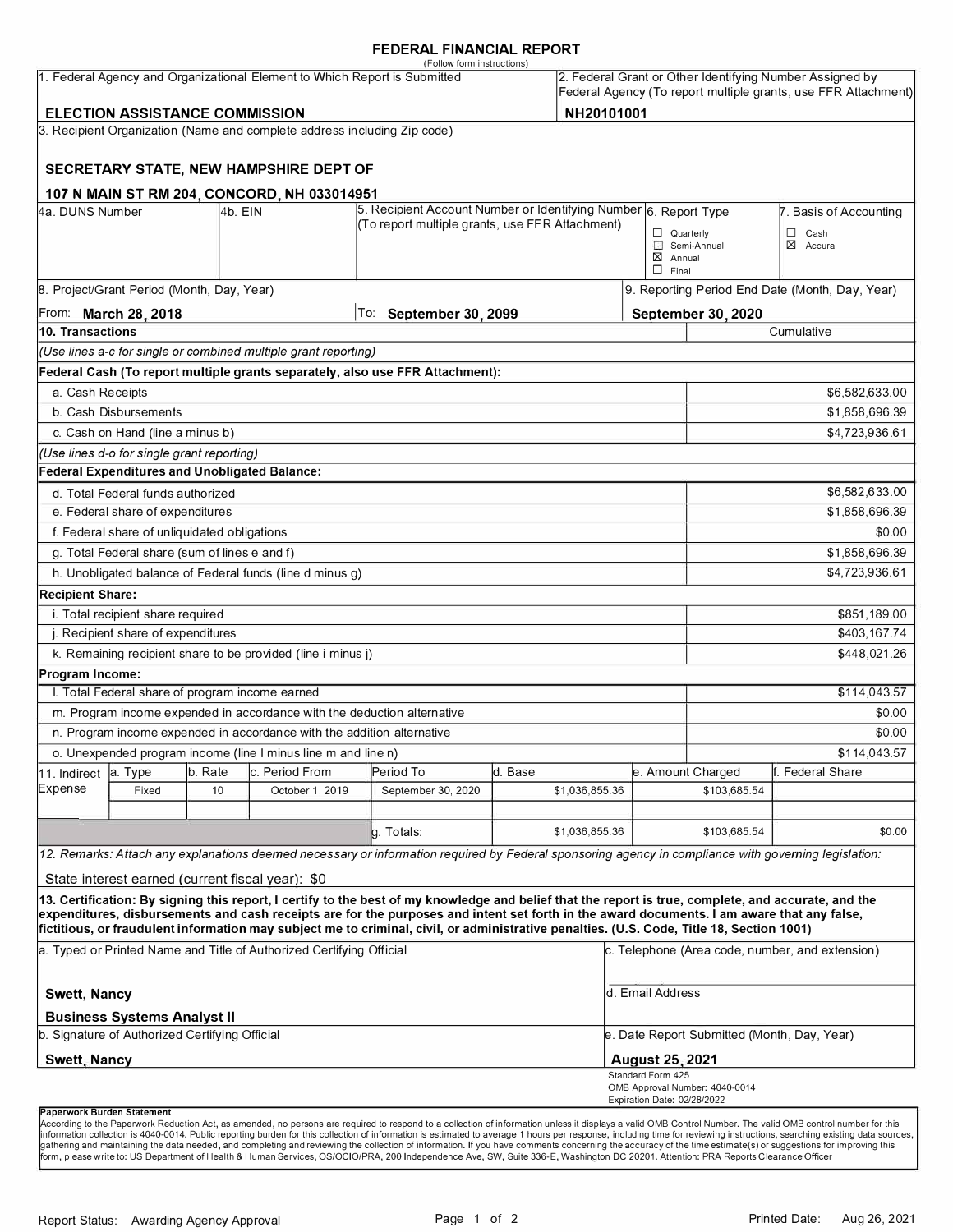#### **FEDERAL FINANCIAL REPORT**

|                                                                           |                                                 |         |                                                                          | (Follow form instructions)                                                                                                                                                                                                                                                              |         |                |                                                                                                                            |                                |                                                 |  |
|---------------------------------------------------------------------------|-------------------------------------------------|---------|--------------------------------------------------------------------------|-----------------------------------------------------------------------------------------------------------------------------------------------------------------------------------------------------------------------------------------------------------------------------------------|---------|----------------|----------------------------------------------------------------------------------------------------------------------------|--------------------------------|-------------------------------------------------|--|
| 1. Federal Agency and Organizational Element to Which Report is Submitted |                                                 |         |                                                                          |                                                                                                                                                                                                                                                                                         |         |                | 2. Federal Grant or Other Identifying Number Assigned by<br>Federal Agency (To report multiple grants, use FFR Attachment) |                                |                                                 |  |
|                                                                           | <b>ELECTION ASSISTANCE COMMISSION</b>           |         |                                                                          |                                                                                                                                                                                                                                                                                         |         | NH20101001     |                                                                                                                            |                                |                                                 |  |
|                                                                           |                                                 |         | 3. Recipient Organization (Name and complete address including Zip code) |                                                                                                                                                                                                                                                                                         |         |                |                                                                                                                            |                                |                                                 |  |
|                                                                           |                                                 |         |                                                                          |                                                                                                                                                                                                                                                                                         |         |                |                                                                                                                            |                                |                                                 |  |
|                                                                           |                                                 |         | SECRETARY STATE, NEW HAMPSHIRE DEPT OF                                   |                                                                                                                                                                                                                                                                                         |         |                |                                                                                                                            |                                |                                                 |  |
|                                                                           |                                                 |         | 107 N MAIN ST RM 204, CONCORD, NH 033014951                              |                                                                                                                                                                                                                                                                                         |         |                |                                                                                                                            |                                |                                                 |  |
| 4a. DUNS Number                                                           |                                                 | 4b. EIN |                                                                          | 5. Recipient Account Number or Identifying Number 6. Report Type<br>(To report multiple grants, use FFR Attachment)                                                                                                                                                                     |         |                |                                                                                                                            |                                | 7. Basis of Accounting                          |  |
|                                                                           |                                                 |         |                                                                          |                                                                                                                                                                                                                                                                                         |         |                | $\Box$ Quarterly                                                                                                           | Semi-Annual                    | $\Box$ Cash<br>$\boxtimes$ Accural              |  |
|                                                                           |                                                 |         |                                                                          |                                                                                                                                                                                                                                                                                         |         |                | $\boxtimes$ Annual                                                                                                         |                                |                                                 |  |
|                                                                           |                                                 |         |                                                                          |                                                                                                                                                                                                                                                                                         |         |                | $\Box$ Final                                                                                                               |                                |                                                 |  |
|                                                                           | 8. Project/Grant Period (Month, Day, Year)      |         |                                                                          |                                                                                                                                                                                                                                                                                         |         |                |                                                                                                                            |                                | 9. Reporting Period End Date (Month, Day, Year) |  |
|                                                                           | From: March 28, 2018                            |         |                                                                          | To: September 30, 2099                                                                                                                                                                                                                                                                  |         |                |                                                                                                                            | <b>September 30, 2020</b>      |                                                 |  |
| 10. Transactions                                                          |                                                 |         |                                                                          |                                                                                                                                                                                                                                                                                         |         |                |                                                                                                                            |                                | Cumulative                                      |  |
|                                                                           |                                                 |         | (Use lines a-c for single or combined multiple grant reporting)          |                                                                                                                                                                                                                                                                                         |         |                |                                                                                                                            |                                |                                                 |  |
|                                                                           |                                                 |         |                                                                          | Federal Cash (To report multiple grants separately, also use FFR Attachment):                                                                                                                                                                                                           |         |                |                                                                                                                            |                                |                                                 |  |
| a. Cash Receipts                                                          |                                                 |         |                                                                          |                                                                                                                                                                                                                                                                                         |         |                |                                                                                                                            | \$6,582,633.00                 |                                                 |  |
|                                                                           | b. Cash Disbursements                           |         |                                                                          |                                                                                                                                                                                                                                                                                         |         |                |                                                                                                                            |                                | \$1,858,696.39                                  |  |
|                                                                           | c. Cash on Hand (line a minus b)                |         |                                                                          |                                                                                                                                                                                                                                                                                         |         |                |                                                                                                                            |                                | \$4,723,936.61                                  |  |
|                                                                           | (Use lines d-o for single grant reporting)      |         |                                                                          |                                                                                                                                                                                                                                                                                         |         |                |                                                                                                                            |                                |                                                 |  |
|                                                                           | Federal Expenditures and Unobligated Balance:   |         |                                                                          |                                                                                                                                                                                                                                                                                         |         |                |                                                                                                                            |                                |                                                 |  |
|                                                                           | d. Total Federal funds authorized               |         |                                                                          |                                                                                                                                                                                                                                                                                         |         |                |                                                                                                                            |                                | \$6,582,633.00                                  |  |
|                                                                           | e. Federal share of expenditures                |         |                                                                          |                                                                                                                                                                                                                                                                                         |         |                |                                                                                                                            |                                | \$1,858,696.39                                  |  |
|                                                                           | f. Federal share of unliquidated obligations    |         |                                                                          |                                                                                                                                                                                                                                                                                         |         |                |                                                                                                                            |                                | \$0.00                                          |  |
|                                                                           | g. Total Federal share (sum of lines e and f)   |         |                                                                          |                                                                                                                                                                                                                                                                                         |         |                |                                                                                                                            |                                | \$1,858,696.39                                  |  |
|                                                                           |                                                 |         | h. Unobligated balance of Federal funds (line d minus g)                 |                                                                                                                                                                                                                                                                                         |         |                |                                                                                                                            |                                | \$4,723,936.61                                  |  |
| <b>Recipient Share:</b>                                                   |                                                 |         |                                                                          |                                                                                                                                                                                                                                                                                         |         |                |                                                                                                                            |                                |                                                 |  |
| i. Total recipient share required                                         |                                                 |         |                                                                          |                                                                                                                                                                                                                                                                                         |         |                |                                                                                                                            | \$851,189.00                   |                                                 |  |
| j. Recipient share of expenditures                                        |                                                 |         |                                                                          |                                                                                                                                                                                                                                                                                         |         |                | \$403,167.74                                                                                                               |                                |                                                 |  |
|                                                                           |                                                 |         | k. Remaining recipient share to be provided (line i minus j)             |                                                                                                                                                                                                                                                                                         |         |                |                                                                                                                            |                                | \$448,021.26                                    |  |
| Program Income:                                                           |                                                 |         |                                                                          |                                                                                                                                                                                                                                                                                         |         |                |                                                                                                                            |                                |                                                 |  |
|                                                                           | I. Total Federal share of program income earned |         |                                                                          |                                                                                                                                                                                                                                                                                         |         |                |                                                                                                                            |                                | \$114,043.57                                    |  |
|                                                                           |                                                 |         | m. Program income expended in accordance with the deduction alternative  |                                                                                                                                                                                                                                                                                         |         |                |                                                                                                                            | \$0.00                         |                                                 |  |
|                                                                           |                                                 |         | n. Program income expended in accordance with the addition alternative   |                                                                                                                                                                                                                                                                                         |         |                |                                                                                                                            | \$0.00                         |                                                 |  |
|                                                                           |                                                 |         | o. Unexpended program income (line I minus line m and line n)            |                                                                                                                                                                                                                                                                                         |         |                |                                                                                                                            |                                | \$114,043.57                                    |  |
| 11. Indirect<br>Expense                                                   | la. Type                                        | b. Rate | c. Period From                                                           | Period To                                                                                                                                                                                                                                                                               | d. Base |                |                                                                                                                            | e. Amount Charged              | f. Federal Share                                |  |
|                                                                           | Fixed                                           | 10      | October 1, 2019                                                          | September 30, 2020                                                                                                                                                                                                                                                                      |         | \$1,036,855.36 |                                                                                                                            | \$103,685.54                   |                                                 |  |
|                                                                           |                                                 |         |                                                                          | g. Totals:                                                                                                                                                                                                                                                                              |         | \$1,036,855.36 |                                                                                                                            | \$103,685.54                   | \$0.00                                          |  |
|                                                                           |                                                 |         |                                                                          | 12. Remarks: Attach any explanations deemed necessary or information required by Federal sponsoring agency in compliance with governing legislation:                                                                                                                                    |         |                |                                                                                                                            |                                |                                                 |  |
|                                                                           |                                                 |         | State interest earned (current fiscal year): \$0                         |                                                                                                                                                                                                                                                                                         |         |                |                                                                                                                            |                                |                                                 |  |
|                                                                           |                                                 |         |                                                                          | 13. Certification: By signing this report, I certify to the best of my knowledge and belief that the report is true, complete, and accurate, and the                                                                                                                                    |         |                |                                                                                                                            |                                |                                                 |  |
|                                                                           |                                                 |         |                                                                          | expenditures, disbursements and cash receipts are for the purposes and intent set forth in the award documents. I am aware that any false,<br>fictitious, or fraudulent information may subject me to criminal, civil, or administrative penalties. (U.S. Code, Title 18, Section 1001) |         |                |                                                                                                                            |                                |                                                 |  |
| a. Typed or Printed Name and Title of Authorized Certifying Official      |                                                 |         |                                                                          |                                                                                                                                                                                                                                                                                         |         |                | c. Telephone (Area code, number, and extension)                                                                            |                                |                                                 |  |
| <b>Swett, Nancy</b>                                                       |                                                 |         |                                                                          |                                                                                                                                                                                                                                                                                         |         |                | d. Email Address                                                                                                           |                                |                                                 |  |
| <b>Business Systems Analyst II</b>                                        |                                                 |         |                                                                          |                                                                                                                                                                                                                                                                                         |         |                |                                                                                                                            |                                |                                                 |  |
| b. Signature of Authorized Certifying Official                            |                                                 |         |                                                                          |                                                                                                                                                                                                                                                                                         |         |                | e. Date Report Submitted (Month, Day, Year)                                                                                |                                |                                                 |  |
| <b>Swett, Nancy</b>                                                       |                                                 |         |                                                                          |                                                                                                                                                                                                                                                                                         |         |                | <b>August 25, 2021</b>                                                                                                     |                                |                                                 |  |
|                                                                           |                                                 |         |                                                                          |                                                                                                                                                                                                                                                                                         |         |                | Standard Form 425<br>Expiration Date: 02/28/2022                                                                           | OMB Approval Number: 4040-0014 |                                                 |  |

#### **Paperwork Burden Statement**

According to the Paperwork Reduction Act, as amended, no persons are required to respond to a collection of information unless it displays a valid OMB Control Number. The valid OMB control number for this<br>information colle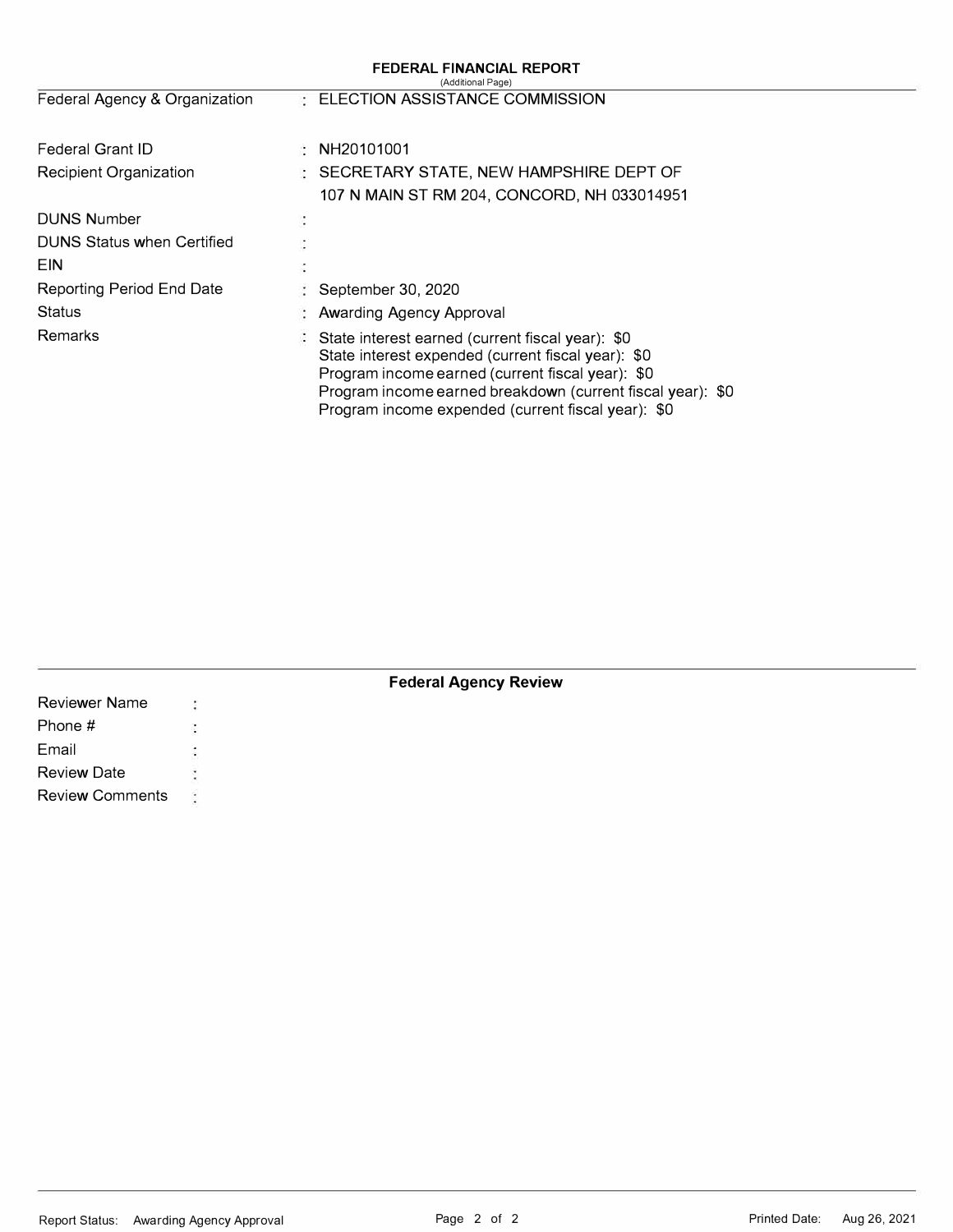|                                   |   | FEDERAL FINANCIAL REPORT<br>(Additional Page)                                                                                                                                                                                                                                  |
|-----------------------------------|---|--------------------------------------------------------------------------------------------------------------------------------------------------------------------------------------------------------------------------------------------------------------------------------|
| Federal Agency & Organization     |   | : ELECTION ASSISTANCE COMMISSION                                                                                                                                                                                                                                               |
| Federal Grant ID                  |   | NH20101001                                                                                                                                                                                                                                                                     |
| Recipient Organization            |   | : SECRETARY STATE, NEW HAMPSHIRE DEPT OF                                                                                                                                                                                                                                       |
|                                   |   | 107 N MAIN ST RM 204, CONCORD, NH 033014951                                                                                                                                                                                                                                    |
| <b>DUNS Number</b>                | ¢ |                                                                                                                                                                                                                                                                                |
| <b>DUNS Status when Certified</b> |   |                                                                                                                                                                                                                                                                                |
| <b>FIN</b>                        |   |                                                                                                                                                                                                                                                                                |
| Reporting Period End Date         |   | September 30, 2020                                                                                                                                                                                                                                                             |
| Status                            |   | Awarding Agency Approval                                                                                                                                                                                                                                                       |
| <b>Remarks</b>                    |   | State interest earned (current fiscal year): \$0<br>State interest expended (current fiscal year): \$0<br>Program income earned (current fiscal year): \$0<br>Program income earned breakdown (current fiscal year): \$0<br>Program income expended (current fiscal year): \$0 |

## **Federal Agency Review**

| <b>Reviewer Name</b>   |        |  |  |
|------------------------|--------|--|--|
| Phone #                | in the |  |  |
| Email                  |        |  |  |
| <b>Review Date</b>     |        |  |  |
| <b>Review Comments</b> |        |  |  |
|                        |        |  |  |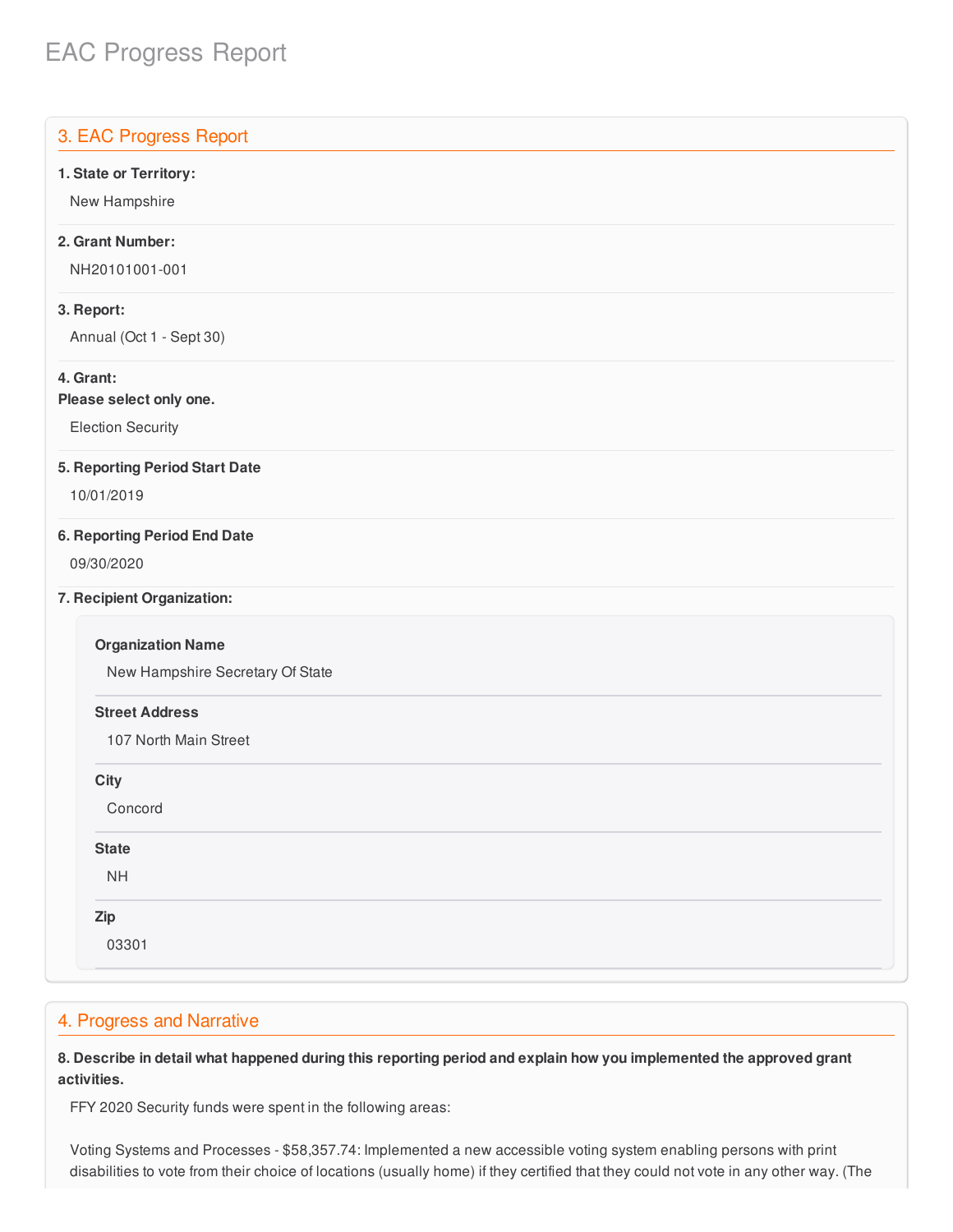# EAC Progress Report

# 3. EAC Progress Report  **1. State or Territory:** Annual (Oct 1 - Sept 30)  **Please select only one. 5. Reporting Period Start Date 6. Reporting Period End Date** New Hampshire Secretary Of State 107 North Main Street New Hampshire **2. Grant Number:** NH20101001-001 **3. Report: 4. Grant:** Election Security 10/01/2019 09/30/2020 **7. Recipient Organization: Organization Name Street Address City** Concord **State** NH **Zip** 03301

## 4. Progress and Narrative

8. Describe in detail what happened during this reporting period and explain how you implemented the approved grant **activities.**

FFY 2020 Security funds were spent in the following areas:

 Voting Systems and Processes - \$[58,357.74](https://58,357.74): Implemented a new accessible voting system enabling persons with print disabilities to vote from their choice of locations (usually home) if they certified that they could not vote in any other way. (The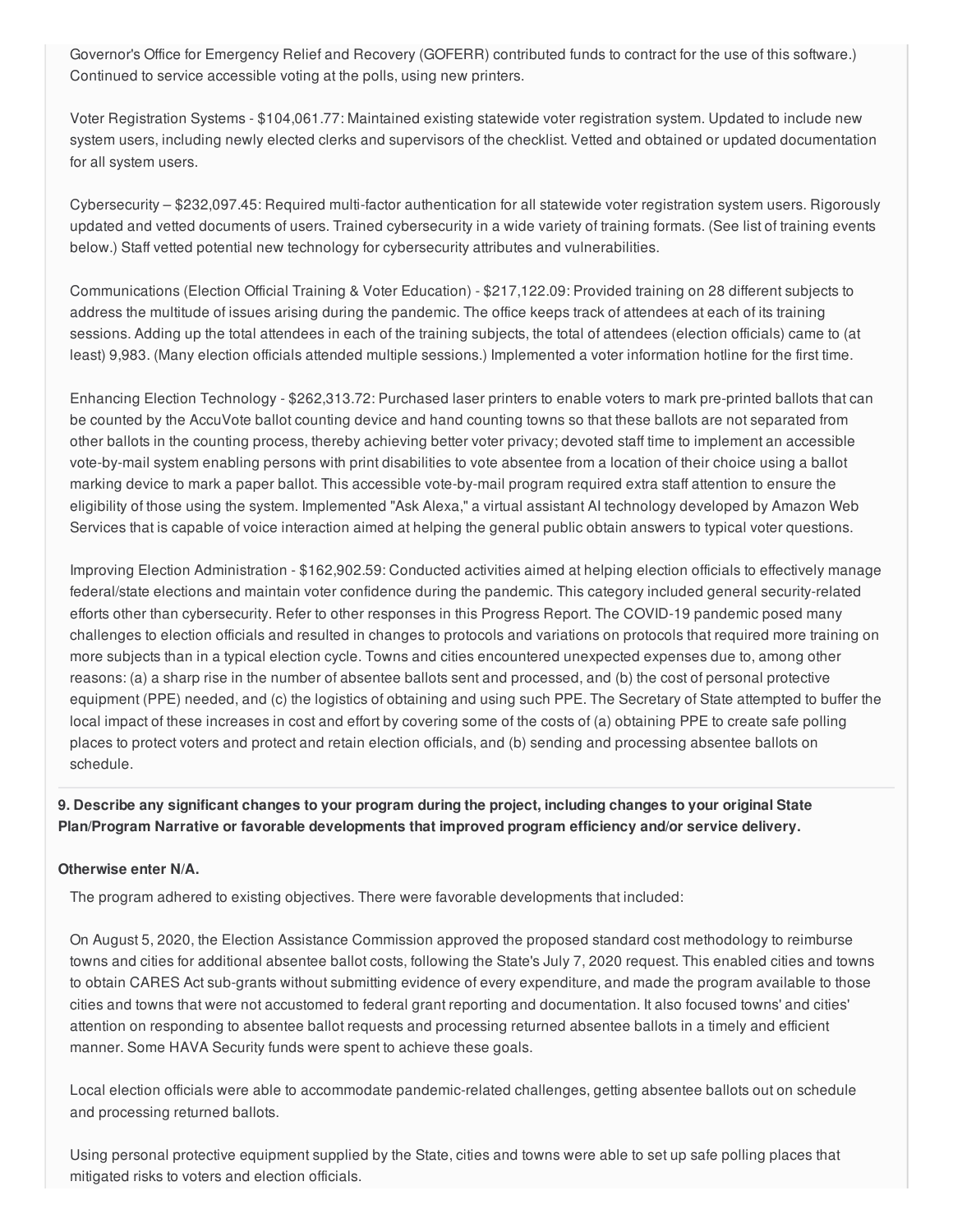Governor's Office for Emergency Relief and Recovery (GOFERR) contributed funds to contract for the use of this software.) Continued to service accessible voting at the polls, using new printers.

 Voter Registration Systems - \$[104,061.77](https://104,061.77): Maintained existing statewide voter registration system. Updated to include new system users, including newly elected clerks and supervisors of the checklist. Vetted and obtained or updated documentation for all system users.

 Cybersecurity – \$[232,097.45](https://232,097.45): Required multi-factor authentication for all statewide voter registration system users. Rigorously updated and vetted documents of users. Trained cybersecurity in a wide variety of training formats. (See list of training events below.) Staff vetted potential new technology for cybersecurity attributes and vulnerabilities.

 Communications (Election Official Training & Voter Education) - \$[217,122.09:](https://217,122.09) Provided training on 28 different subjects to address the multitude of issues arising during the pandemic. The office keeps track of attendees at each of its training sessions. Adding up the total attendees in each of the training subjects, the total of attendees (election officials) came to (at least) 9,983. (Many election officials attended multiple sessions.) Implemented a voter information hotline for the first time.

 Enhancing Election Technology - \$[262,313.72](https://262,313.72): Purchased laser printers to enable voters to mark pre-printed ballots that can be counted by the AccuVote ballot counting device and hand counting towns so that these ballots are not separated from other ballots in the counting process, thereby achieving better voter privacy; devoted staff time to implement an accessible vote-by-mail system enabling persons with print disabilities to vote absentee from a location of their choice using a ballot marking device to mark a paper ballot. This accessible vote-by-mail program required extra staff attention to ensure the eligibility of those using the system. Implemented "Ask Alexa," a virtual assistant AI technology developed by Amazon Web Services that is capable of voice interaction aimed at helping the general public obtain answers to typical voter questions.

 Improving Election Administration - \$[162,902.59](https://162,902.59): Conducted activities aimed at helping election officials to effectively manage federal/state elections and maintain voter confidence during the pandemic. This category included general security-related efforts other than cybersecurity. Refer to other responses in this Progress Report. The COVID-19 pandemic posed many challenges to election officials and resulted in changes to protocols and variations on protocols that required more training on more subjects than in a typical election cycle. Towns and cities encountered unexpected expenses due to, among other reasons: (a) a sharp rise in the number of absentee ballots sent and processed, and (b) the cost of personal protective equipment (PPE) needed, and (c) the logistics of obtaining and using such PPE. The Secretary of State attempted to buffer the local impact of these increases in cost and effort by covering some of the costs of (a) obtaining PPE to create safe polling places to protect voters and protect and retain election officials, and (b) sending and processing absentee ballots on schedule.

9. Describe any significant changes to your program during the project, including changes to your original State  **Plan/Program Narrative or favorable developments that improved program efficiency and/or service delivery.**

## **Otherwise enter N/A.**

The program adhered to existing objectives. There were favorable developments that included:

 On August 5, 2020, the Election Assistance Commission approved the proposed standard cost methodology to reimburse towns and cities for additional absentee ballot costs, following the State's July 7, 2020 request. This enabled cities and towns to obtain CARES Act sub-grants without submitting evidence of every expenditure, and made the program available to those cities and towns that were not accustomed to federal grant reporting and documentation. It also focused towns' and cities' attention on responding to absentee ballot requests and processing returned absentee ballots in a timely and efficient manner. Some HAVA Security funds were spent to achieve these goals.

 Local election officials were able to accommodate pandemic-related challenges, getting absentee ballots out on schedule and processing returned ballots.

 Using personal protective equipment supplied by the State, cities and towns were able to set up safe polling places that mitigated risks to voters and election officials.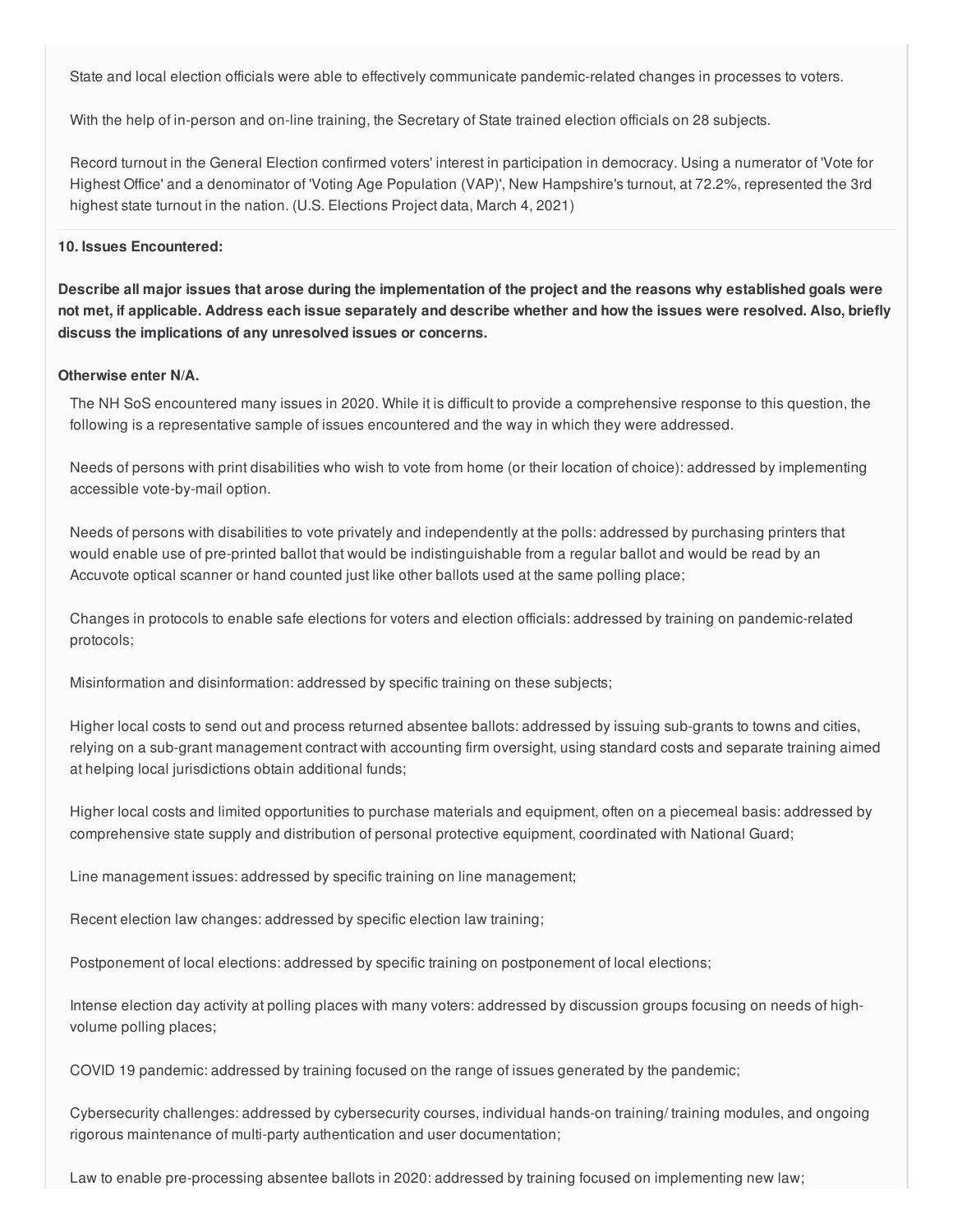State and local election officials were able to effectively communicate pandemic-related changes in processes to voters.

With the help of in-person and on-line training, the Secretary of State trained election officials on 28 subjects.

 Record turnout in the General Election confirmed voters' interest in participation in democracy. Using a numerator of 'Vote for Highest Office' and a denominator of 'Voting Age Population (VAP)', New Hampshire's turnout, at 72.2%, represented the 3rd highest state turnout in the nation. (U.S. Elections Project data, March 4, 2021)

#### **10. Issues Encountered:**

Describe all major issues that arose during the implementation of the project and the reasons why established goals were not met, if applicable. Address each issue separately and describe whether and how the issues were resolved. Also, briefly  **discuss the implications of any unresolved issues or concerns.**

#### **Otherwise enter N/A.**

 The NH SoS encountered many issues in 2020. While it is difficult to provide a comprehensive response to this question, the following is a representative sample of issues encountered and the way in which they were addressed.

 Needs of persons with print disabilities who wish to vote from home (or their location of choice): addressed by implementing accessible vote-by-mail option.

 Needs of persons with disabilities to vote privately and independently at the polls: addressed by purchasing printers that would enable use of pre-printed ballot that would be indistinguishable from a regular ballot and would be read by an Accuvote optical scanner or hand counted just like other ballots used at the same polling place;

 Changes in protocols to enable safe elections for voters and election officials: addressed by training on pandemic-related protocols;

Misinformation and disinformation: addressed by specific training on these subjects;

 Higher local costs to send out and process returned absentee ballots: addressed by issuing sub-grants to towns and cities, relying on a sub-grant management contract with accounting firm oversight, using standard costs and separate training aimed at helping local jurisdictions obtain additional funds;

 Higher local costs and limited opportunities to purchase materials and equipment, often on a piecemeal basis: addressed by comprehensive state supply and distribution of personal protective equipment, coordinated with National Guard;

Line management issues: addressed by specific training on line management;

Recent election law changes: addressed by specific election law training;

Postponement of local elections: addressed by specific training on postponement of local elections;

 Intense election day activity at polling places with many voters: addressed by discussion groups focusing on needs of high-volume polling places;

COVID 19 pandemic: addressed by training focused on the range of issues generated by the pandemic;

 Cybersecurity challenges: addressed by cybersecurity courses, individual hands-on training/ training modules, and ongoing rigorous maintenance of multi-party authentication and user documentation;

Law to enable pre-processing absentee ballots in 2020: addressed by training focused on implementing new law;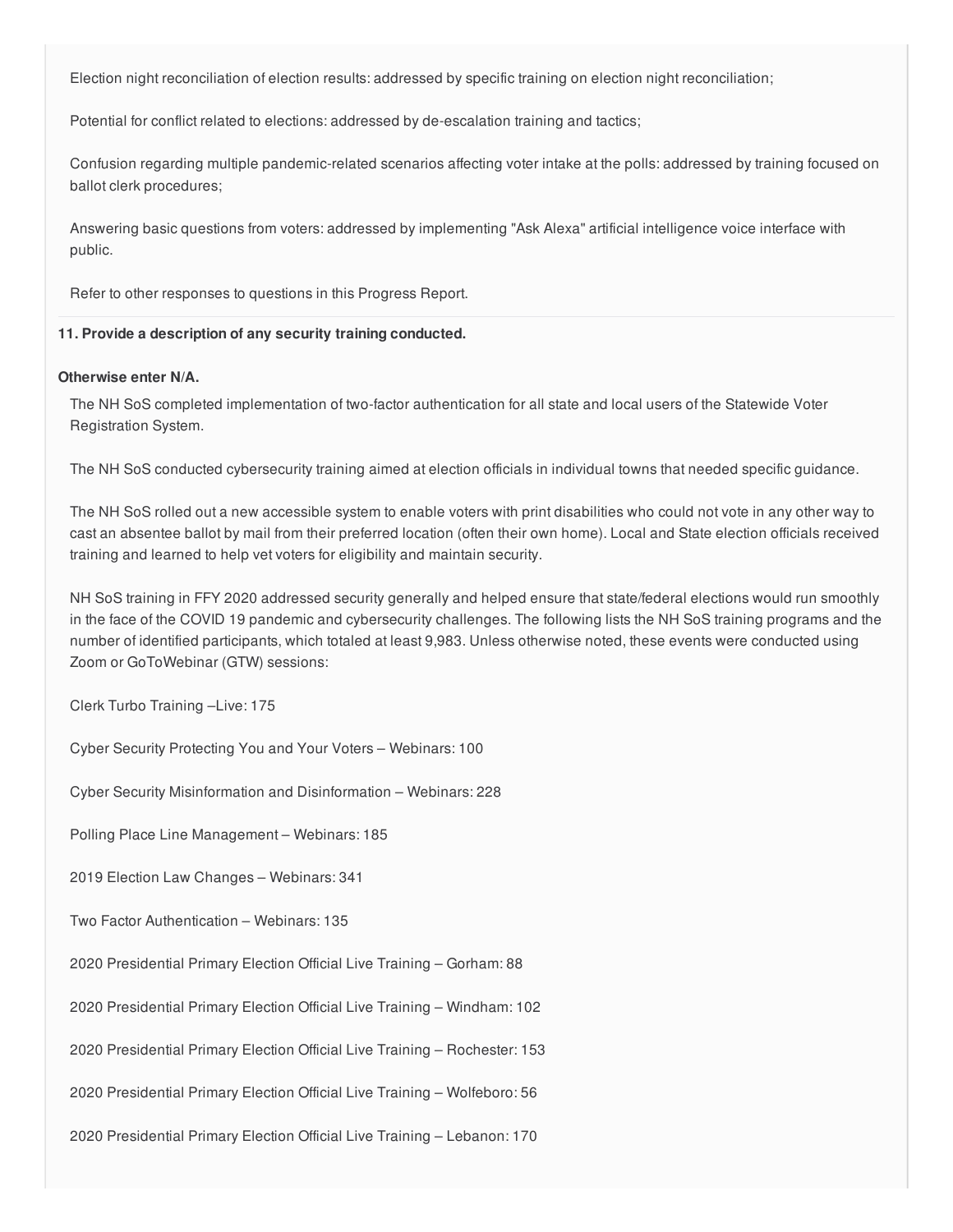Election night reconciliation of election results: addressed by specific training on election night reconciliation;

Potential for conflict related to elections: addressed by de-escalation training and tactics;

 Confusion regarding multiple pandemic-related scenarios affecting voter intake at the polls: addressed by training focused on ballot clerk procedures;

 Answering basic questions from voters: addressed by implementing "Ask Alexa" artificial intelligence voice interface with public.

Refer to other responses to questions in this Progress Report.

#### **11. Provide a description of any security training conducted.**

#### **Otherwise enter N/A.**

 The NH SoS completed implementation of two-factor authentication for all state and local users of the Statewide Voter Registration System.

The NH SoS conducted cybersecurity training aimed at election officials in individual towns that needed specific guidance.

 The NH SoS rolled out a new accessible system to enable voters with print disabilities who could not vote in any other way to cast an absentee ballot by mail from their preferred location (often their own home). Local and State election officials received training and learned to help vet voters for eligibility and maintain security.

 NH SoS training in FFY 2020 addressed security generally and helped ensure that state/federal elections would run smoothly in the face of the COVID 19 pandemic and cybersecurity challenges. The following lists the NH SoS training programs and the number of identified participants, which totaled at least 9,983. Unless otherwise noted, these events were conducted using Zoom or GoToWebinar (GTW) sessions:

Clerk Turbo Training –Live: 175

Cyber Security Protecting You and Your Voters – Webinars: 100

Cyber Security Misinformation and Disinformation – Webinars: 228

Polling Place Line Management – Webinars: 185

2019 Election Law Changes – Webinars: 341

Two Factor Authentication – Webinars: 135

2020 Presidential Primary Election Official Live Training – Gorham: 88

2020 Presidential Primary Election Official Live Training – Windham: 102

2020 Presidential Primary Election Official Live Training – Rochester: 153

2020 Presidential Primary Election Official Live Training – Wolfeboro: 56

2020 Presidential Primary Election Official Live Training – Lebanon: 170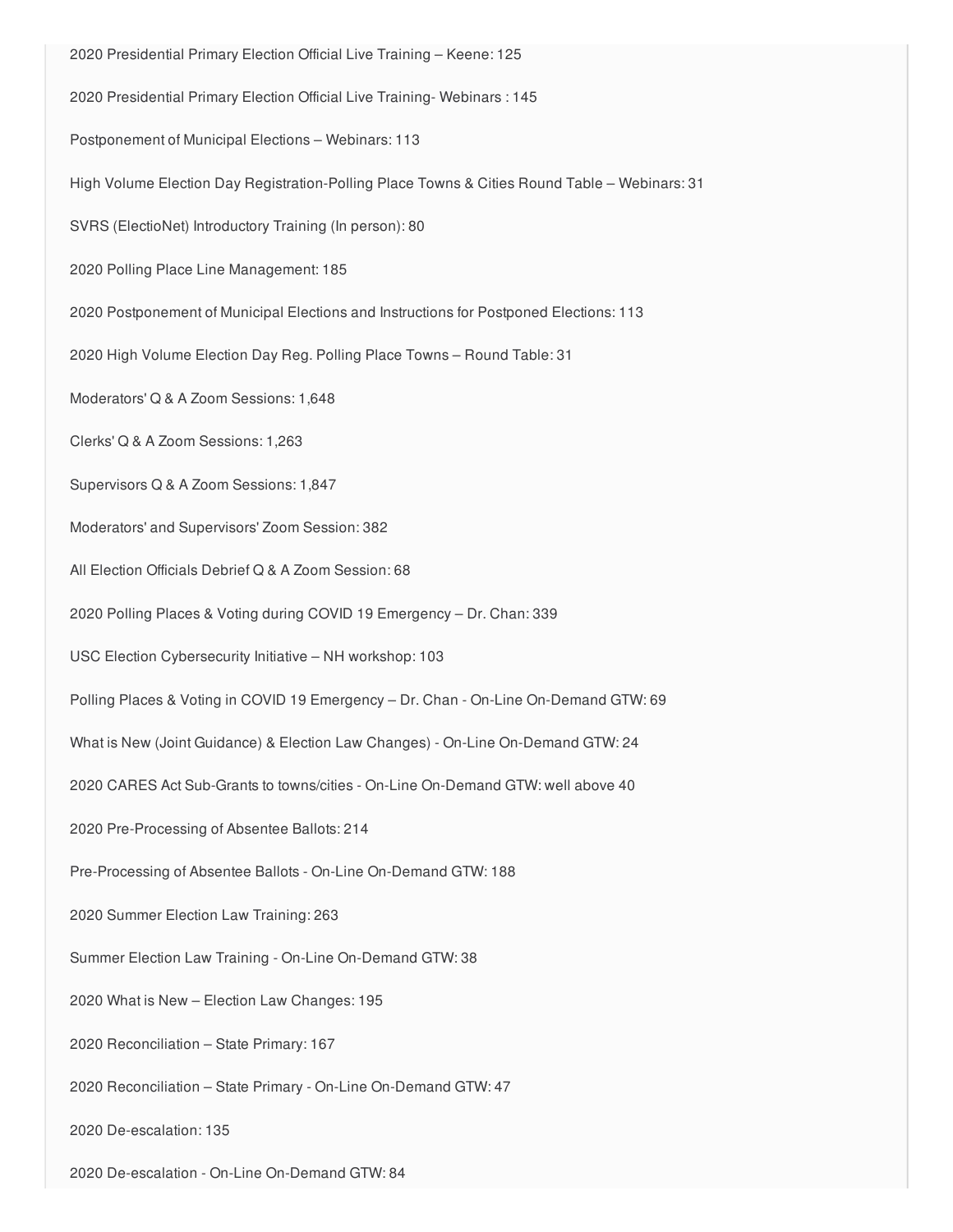2020 Presidential Primary Election Official Live Training – Keene: 125 2020 Presidential Primary Election Official Live Training- Webinars : 145 Postponement of Municipal Elections – Webinars: 113 High Volume Election Day Registration-Polling Place Towns & Cities Round Table – Webinars: 31 SVRS (ElectioNet) Introductory Training (In person): 80 2020 Polling Place Line Management: 185 2020 Postponement of Municipal Elections and Instructions for Postponed Elections: 113 2020 High Volume Election Day Reg. Polling Place Towns – Round Table: 31 Moderators' Q & A Zoom Sessions: 1,648 Clerks' Q & A Zoom Sessions: 1,263 Supervisors Q & A Zoom Sessions: 1,847 Moderators' and Supervisors' Zoom Session: 382 All Election Officials Debrief Q & A Zoom Session: 68 2020 Polling Places & Voting during COVID 19 Emergency – Dr. Chan: 339 USC Election Cybersecurity Initiative – NH workshop: 103 Polling Places & Voting in COVID 19 Emergency – Dr. Chan - On-Line On-Demand GTW: 69 What is New (Joint Guidance) & Election Law Changes) - On-Line On-Demand GTW: 24 2020 CARES Act Sub-Grants to towns/cities - On-Line On-Demand GTW: well above 40 2020 Pre-Processing of Absentee Ballots: 214 Pre-Processing of Absentee Ballots - On-Line On-Demand GTW: 188 2020 Summer Election Law Training: 263 Summer Election Law Training - On-Line On-Demand GTW: 38 2020 What is New – Election Law Changes: 195 2020 Reconciliation – State Primary: 167 2020 Reconciliation – State Primary - On-Line On-Demand GTW: 47 2020 De-escalation: 135

2020 De-escalation - On-Line On-Demand GTW: 84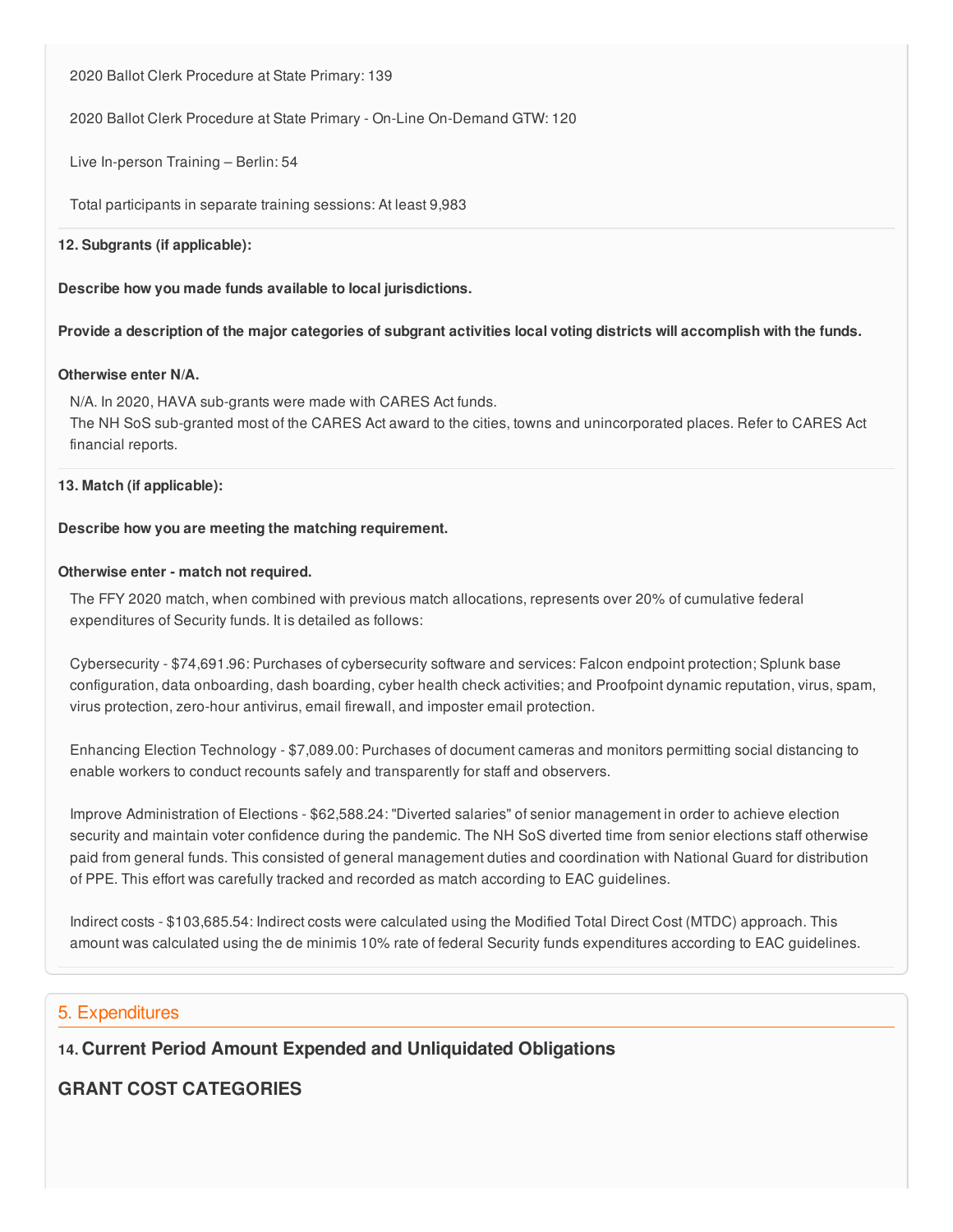2020 Ballot Clerk Procedure at State Primary: 139

2020 Ballot Clerk Procedure at State Primary - On-Line On-Demand GTW: 120

Live In-person Training – Berlin: 54

Total participants in separate training sessions: At least 9,983

#### **12. Subgrants (if applicable):**

 **Describe how you made funds available to local jurisdictions.**

Provide a description of the major categories of subgrant activities local voting districts will accomplish with the funds.

## **Otherwise enter N/A.**

 N/A. In 2020, HAVA sub-grants were made with CARES Act funds. The NH SoS sub-granted most of the CARES Act award to the cities, towns and unincorporated places. Refer to CARES Act financial reports.

## **13. Match (if applicable):**

#### **Describe how you are meeting the matching requirement.**

#### **Otherwise enter - match not required.**

 The FFY 2020 match, when combined with previous match allocations, represents over 20% of cumulative federal expenditures of Security funds. It is detailed as follows:

 Cybersecurity - \$[74,691.96:](https://74,691.96) Purchases of cybersecurity software and services: Falcon endpoint protection; Splunk base configuration, data onboarding, dash boarding, cyber health check activities; and Proofpoint dynamic reputation, virus, spam, virus protection, zero-hour antivirus, email firewall, and imposter email protection.

 Enhancing Election Technology - \$[7,089.00:](https://7,089.00) Purchases of document cameras and monitors permitting social distancing to enable workers to conduct recounts safely and transparently for staff and observers.

 Improve Administration of Elections - \$[62,588.24](https://62,588.24): "Diverted salaries" of senior management in order to achieve election security and maintain voter confidence during the pandemic. The NH SoS diverted time from senior elections staff otherwise paid from general funds. This consisted of general management duties and coordination with National Guard for distribution of PPE. This effort was carefully tracked and recorded as match according to EAC guidelines.

 Indirect costs - \$[103,685.54](https://103,685.54): Indirect costs were calculated using the Modified Total Direct Cost (MTDC) approach. This amount was calculated using the de minimis 10% rate of federal Security funds expenditures according to EAC guidelines.

## 5. Expenditures

 **14. Current Period Amount Expended and Unliquidated Obligations**

# **GRANT COST CATEGORIES**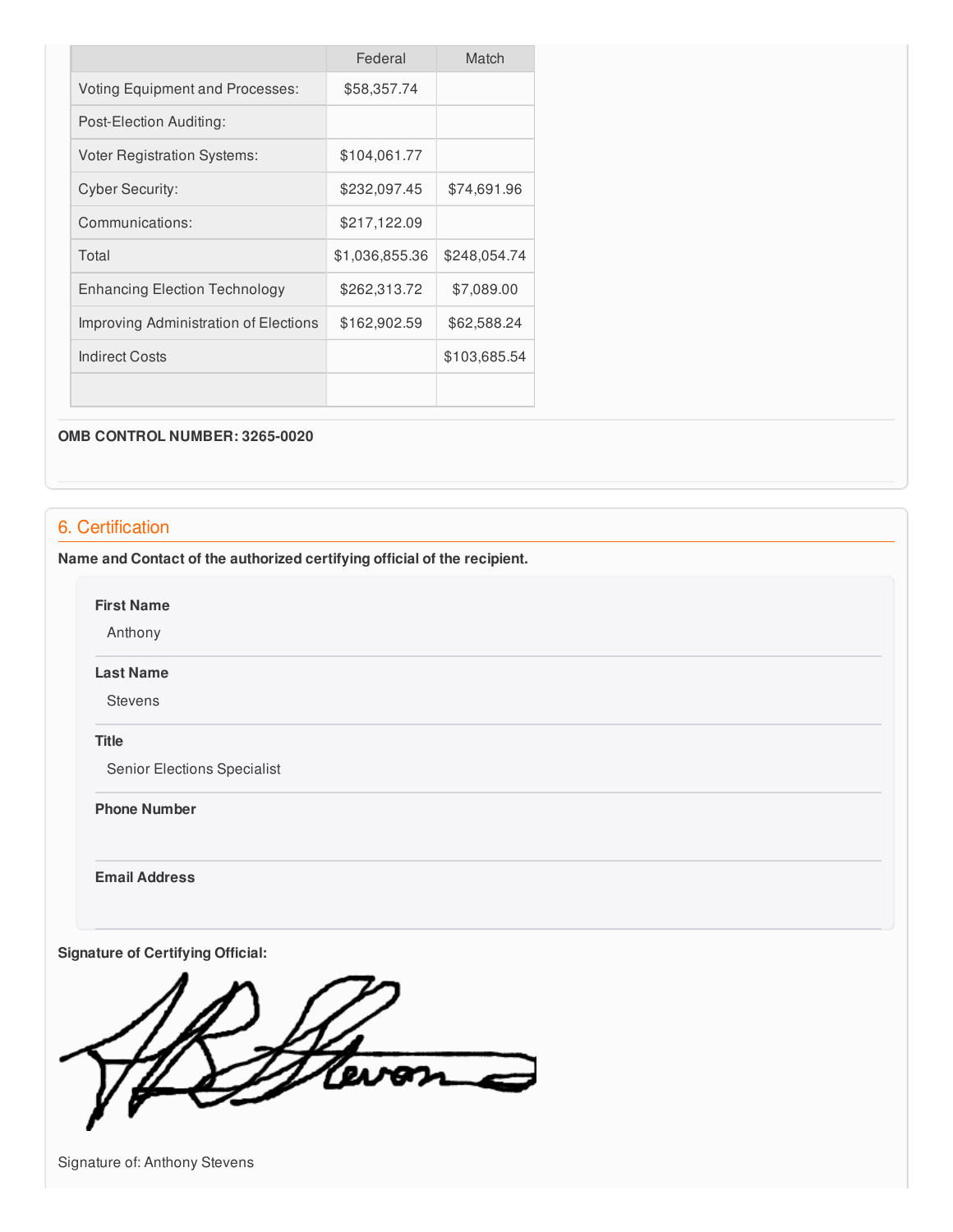|                                        | Federal        | Match        |
|----------------------------------------|----------------|--------------|
| <b>Voting Equipment and Processes:</b> | \$58,357.74    |              |
| Post-Election Auditing:                |                |              |
| <b>Voter Registration Systems:</b>     | \$104,061.77   |              |
| <b>Cyber Security:</b>                 | \$232,097.45   | \$74,691.96  |
| Communications:                        | \$217,122.09   |              |
| Total                                  | \$1,036,855.36 | \$248,054.74 |
| <b>Enhancing Election Technology</b>   | \$262,313.72   | \$7,089.00   |
| Improving Administration of Elections  | \$162,902.59   | \$62,588.24  |
| <b>Indirect Costs</b>                  |                | \$103,685.54 |
|                                        |                |              |

#### **OMB CONTROL NUMBER: 3265-0020**

# 6. Certification

 **Name and Contact of the authorized certifying official of the recipient.**

**First Name**

Anthony

#### **Last Name**

Stevens

## **Title**

Senior Elections Specialist

 **Phone Number**

**Email Address**

 **Signature of Certifying Official:**

Ceven

Signature of: Anthony Stevens